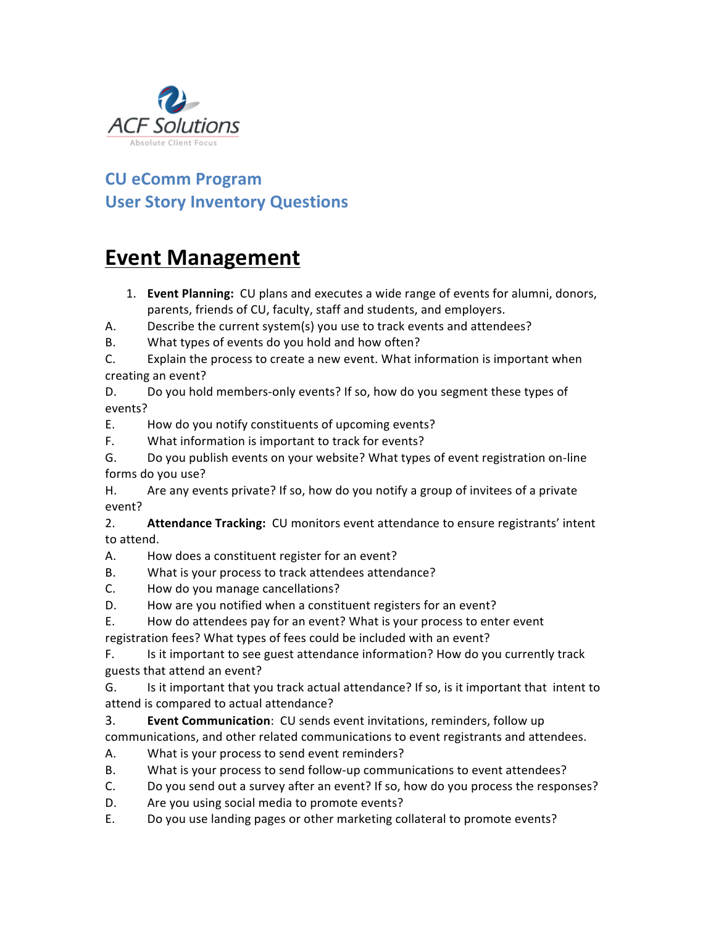

## **CU eComm Program User Story Inventory Questions**

## **Event Management**

- 1. **Event Planning:** CU plans and executes a wide range of events for alumni, donors, parents, friends of CU, faculty, staff and students, and employers.
- A. Describe the current system(s) you use to track events and attendees?
- B. What types of events do you hold and how often?
- C. Explain the process to create a new event. What information is important when creating an event?

D. Do you hold members-only events? If so, how do you segment these types of events?

- E. How do you notify constituents of upcoming events?
- F. What information is important to track for events?

G. Do you publish events on your website? What types of event registration on-line forms do you use?

H. Are any events private? If so, how do you notify a group of invitees of a private event?

2. **Attendance Tracking:** CU monitors event attendance to ensure registrants' intent to attend.

- A. How does a constituent register for an event?
- B. What is your process to track attendees attendance?
- C. How do you manage cancellations?
- D. How are you notified when a constituent registers for an event?
- E. How do attendees pay for an event? What is your process to enter event

registration fees? What types of fees could be included with an event?

F. Is it important to see guest attendance information? How do you currently track guests that attend an event?

G. Is it important that you track actual attendance? If so, is it important that intent to attend is compared to actual attendance?

**3. Event Communication**: CU sends event invitations, reminders, follow up communications, and other related communications to event registrants and attendees.

- A. What is your process to send event reminders?
- B. What is your process to send follow-up communications to event attendees?
- C. Do you send out a survey after an event? If so, how do you process the responses?
- D. Are you using social media to promote events?
- E. Do you use landing pages or other marketing collateral to promote events?